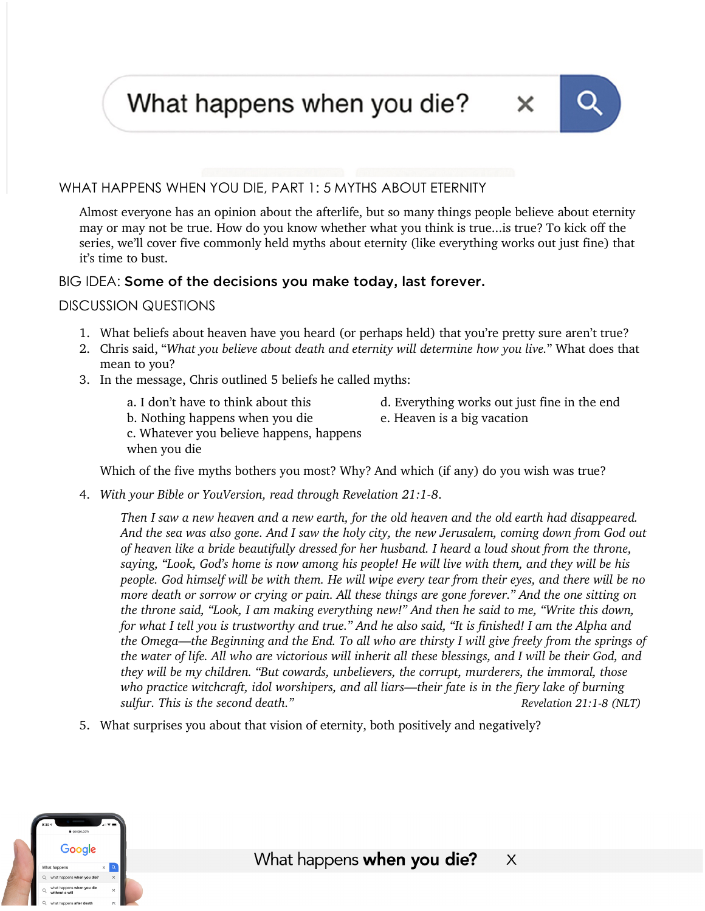What happens when you die?



### WHAT HAPPENS WHEN YOU DIE, PART 1: 5 MYTHS ABOUT ETERNITY

Almost everyone has an opinion about the afterlife, but so many things people believe about eternity may or may not be true. How do you know whether what you think is true...is true? To kick off the series, we'll cover five commonly held myths about eternity (like everything works out just fine) that it's time to bust.

### BIG IDEA: Some of the decisions you make today, last forever.

#### DISCUSSION QUESTIONS

- 1. What beliefs about heaven have you heard (or perhaps held) that you're pretty sure aren't true?
- 2. Chris said, "*What you believe about death and eternity will determine how you live.*" What does that mean to you?
- 3. In the message, Chris outlined 5 beliefs he called myths:
	- a. I don't have to think about this
- d. Everything works out just fine in the end
- b. Nothing happens when you die
- e. Heaven is a big vacation
- c. Whatever you believe happens, happens when you die

Which of the five myths bothers you most? Why? And which (if any) do you wish was true?

4. *With your Bible or YouVersion, read through Revelation 21:1-8*.

*Then I saw a new heaven and a new earth, for the old heaven and the old earth had disappeared. And the sea was also gone. And I saw the holy city, the new Jerusalem, coming down from God out of heaven like a bride beautifully dressed for her husband. I heard a loud shout from the throne, saying, "Look, God's home is now among his people! He will live with them, and they will be his people. God himself will be with them. He will wipe every tear from their eyes, and there will be no more death or sorrow or crying or pain. All these things are gone forever." And the one sitting on the throne said, "Look, I am making everything new!" And then he said to me, "Write this down, for what I tell you is trustworthy and true." And he also said, "It is finished! I am the Alpha and the Omega—the Beginning and the End. To all who are thirsty I will give freely from the springs of the water of life. All who are victorious will inherit all these blessings, and I will be their God, and they will be my children. "But cowards, unbelievers, the corrupt, murderers, the immoral, those who practice witchcraft, idol worshipers, and all liars—their fate is in the fiery lake of burning sulfur. This is the second death."*  $\blacksquare$  *Revelation 21:1-8 (NLT)* 

5. What surprises you about that vision of eternity, both positively and negatively?